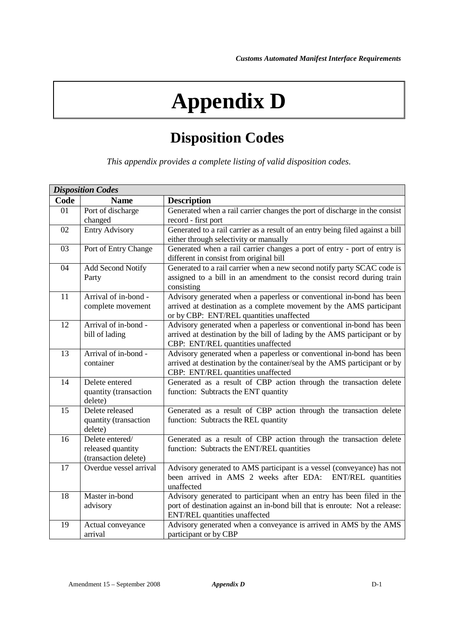## **Appendix D**

## **Disposition Codes**

*This appendix provides a complete listing of valid disposition codes.*

| <b>Disposition Codes</b> |                          |                                                                                                            |
|--------------------------|--------------------------|------------------------------------------------------------------------------------------------------------|
| Code                     | <b>Name</b>              | <b>Description</b>                                                                                         |
| 01                       | Port of discharge        | Generated when a rail carrier changes the port of discharge in the consist                                 |
|                          | changed                  | record - first port                                                                                        |
| 02                       | <b>Entry Advisory</b>    | Generated to a rail carrier as a result of an entry being filed against a bill                             |
|                          |                          | either through selectivity or manually                                                                     |
| 03                       | Port of Entry Change     | Generated when a rail carrier changes a port of entry - port of entry is                                   |
|                          |                          | different in consist from original bill                                                                    |
| 04                       | <b>Add Second Notify</b> | Generated to a rail carrier when a new second notify party SCAC code is                                    |
|                          | Party                    | assigned to a bill in an amendment to the consist record during train                                      |
|                          |                          | consisting                                                                                                 |
| 11                       | Arrival of in-bond -     | Advisory generated when a paperless or conventional in-bond has been                                       |
|                          | complete movement        | arrived at destination as a complete movement by the AMS participant                                       |
|                          |                          | or by CBP: ENT/REL quantities unaffected                                                                   |
| 12                       | Arrival of in-bond -     | Advisory generated when a paperless or conventional in-bond has been                                       |
|                          | bill of lading           | arrived at destination by the bill of lading by the AMS participant or by                                  |
| $\overline{13}$          | Arrival of in-bond -     | CBP: ENT/REL quantities unaffected<br>Advisory generated when a paperless or conventional in-bond has been |
|                          | container                | arrived at destination by the container/seal by the AMS participant or by                                  |
|                          |                          | CBP: ENT/REL quantities unaffected                                                                         |
| 14                       | Delete entered           | Generated as a result of CBP action through the transaction delete                                         |
|                          | quantity (transaction    | function: Subtracts the ENT quantity                                                                       |
|                          | delete)                  |                                                                                                            |
| $\overline{15}$          | Delete released          | Generated as a result of CBP action through the transaction delete                                         |
|                          | quantity (transaction    | function: Subtracts the REL quantity                                                                       |
|                          | delete)                  |                                                                                                            |
| 16                       | Delete entered/          | Generated as a result of CBP action through the transaction delete                                         |
|                          | released quantity        | function: Subtracts the ENT/REL quantities                                                                 |
|                          | (transaction delete)     |                                                                                                            |
| 17                       | Overdue vessel arrival   | Advisory generated to AMS participant is a vessel (conveyance) has not                                     |
|                          |                          | been arrived in AMS 2 weeks after EDA: ENT/REL quantities                                                  |
|                          |                          | unaffected                                                                                                 |
| 18                       | Master in-bond           | Advisory generated to participant when an entry has been filed in the                                      |
|                          | advisory                 | port of destination against an in-bond bill that is enroute: Not a release:                                |
|                          |                          | <b>ENT/REL</b> quantities unaffected                                                                       |
| 19                       | Actual conveyance        | Advisory generated when a conveyance is arrived in AMS by the AMS                                          |
|                          | arrival                  | participant or by CBP                                                                                      |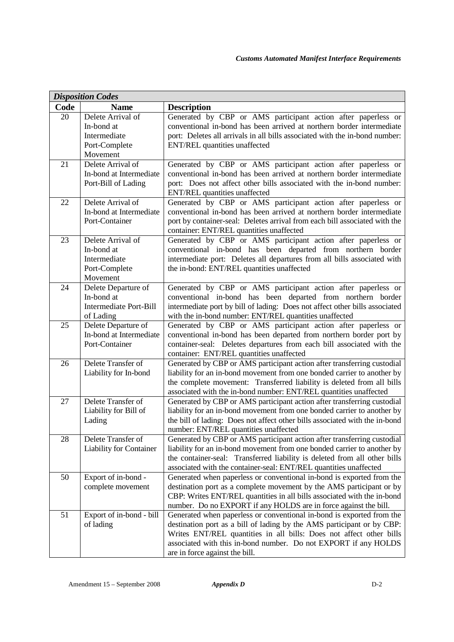| <b>Disposition Codes</b> |                                |                                                                                                                                                    |  |
|--------------------------|--------------------------------|----------------------------------------------------------------------------------------------------------------------------------------------------|--|
| Code                     | <b>Name</b>                    | <b>Description</b>                                                                                                                                 |  |
| 20                       | Delete Arrival of              | Generated by CBP or AMS participant action after paperless or                                                                                      |  |
|                          | In-bond at                     | conventional in-bond has been arrived at northern border intermediate                                                                              |  |
|                          | Intermediate                   | port: Deletes all arrivals in all bills associated with the in-bond number:                                                                        |  |
|                          | Port-Complete                  | <b>ENT/REL</b> quantities unaffected                                                                                                               |  |
|                          | Movement                       |                                                                                                                                                    |  |
| 21                       | Delete Arrival of              | Generated by CBP or AMS participant action after paperless or                                                                                      |  |
|                          | In-bond at Intermediate        | conventional in-bond has been arrived at northern border intermediate                                                                              |  |
|                          | Port-Bill of Lading            | port: Does not affect other bills associated with the in-bond number:                                                                              |  |
|                          |                                | ENT/REL quantities unaffected                                                                                                                      |  |
| 22                       | Delete Arrival of              | Generated by CBP or AMS participant action after paperless or                                                                                      |  |
|                          | In-bond at Intermediate        | conventional in-bond has been arrived at northern border intermediate                                                                              |  |
|                          | Port-Container                 | port by container-seal: Deletes arrival from each bill associated with the                                                                         |  |
|                          |                                | container: ENT/REL quantities unaffected                                                                                                           |  |
| 23                       | Delete Arrival of              | Generated by CBP or AMS participant action after paperless or                                                                                      |  |
|                          | In-bond at                     | conventional in-bond has been departed from northern border                                                                                        |  |
|                          | Intermediate                   | intermediate port: Deletes all departures from all bills associated with                                                                           |  |
|                          | Port-Complete<br>Movement      | the in-bond: ENT/REL quantities unaffected                                                                                                         |  |
| 24                       | Delete Departure of            | Generated by CBP or AMS participant action after paperless or                                                                                      |  |
|                          | In-bond at                     | conventional in-bond has been departed from northern border                                                                                        |  |
|                          | Intermediate Port-Bill         | intermediate port by bill of lading: Does not affect other bills associated                                                                        |  |
|                          | of Lading                      | with the in-bond number: ENT/REL quantities unaffected                                                                                             |  |
| 25                       | Delete Departure of            | Generated by CBP or AMS participant action after paperless or                                                                                      |  |
|                          | In-bond at Intermediate        | conventional in-bond has been departed from northern border port by                                                                                |  |
|                          | Port-Container                 | container-seal: Deletes departures from each bill associated with the                                                                              |  |
|                          |                                | container: ENT/REL quantities unaffected                                                                                                           |  |
| 26                       | Delete Transfer of             | Generated by CBP or AMS participant action after transferring custodial                                                                            |  |
|                          | Liability for In-bond          | liability for an in-bond movement from one bonded carrier to another by                                                                            |  |
|                          |                                | the complete movement: Transferred liability is deleted from all bills                                                                             |  |
|                          |                                | associated with the in-bond number: ENT/REL quantities unaffected                                                                                  |  |
| 27                       | Delete Transfer of             | Generated by CBP or AMS participant action after transferring custodial                                                                            |  |
|                          | Liability for Bill of          | liability for an in-bond movement from one bonded carrier to another by                                                                            |  |
|                          | Lading                         | the bill of lading: Does not affect other bills associated with the in-bond                                                                        |  |
|                          |                                | number: ENT/REL quantities unaffected                                                                                                              |  |
| 28                       | Delete Transfer of             | Generated by CBP or AMS participant action after transferring custodial<br>liability for an in-bond movement from one bonded carrier to another by |  |
|                          | <b>Liability for Container</b> | the container-seal: Transferred liability is deleted from all other bills                                                                          |  |
|                          |                                | associated with the container-seal: ENT/REL quantities unaffected                                                                                  |  |
| 50                       | Export of in-bond -            | Generated when paperless or conventional in-bond is exported from the                                                                              |  |
|                          | complete movement              | destination port as a complete movement by the AMS participant or by                                                                               |  |
|                          |                                | CBP: Writes ENT/REL quantities in all bills associated with the in-bond                                                                            |  |
|                          |                                | number. Do no EXPORT if any HOLDS are in force against the bill.                                                                                   |  |
| 51                       | Export of in-bond - bill       | Generated when paperless or conventional in-bond is exported from the                                                                              |  |
|                          | of lading                      | destination port as a bill of lading by the AMS participant or by CBP:                                                                             |  |
|                          |                                | Writes ENT/REL quantities in all bills: Does not affect other bills                                                                                |  |
|                          |                                | associated with this in-bond number. Do not EXPORT if any HOLDS                                                                                    |  |
|                          |                                | are in force against the bill.                                                                                                                     |  |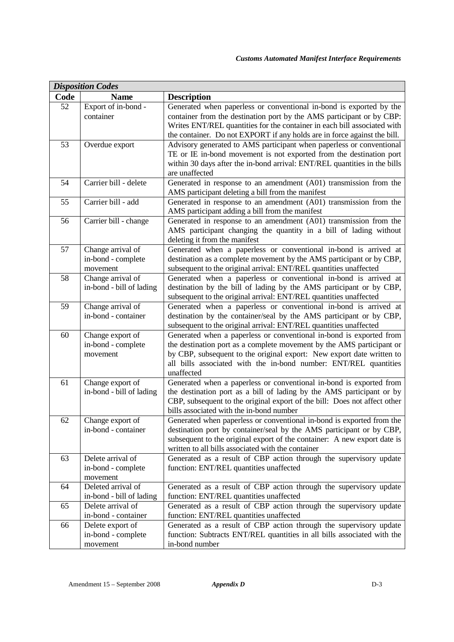| <b>Disposition Codes</b> |                                               |                                                                                                                                       |  |
|--------------------------|-----------------------------------------------|---------------------------------------------------------------------------------------------------------------------------------------|--|
| Code                     | <b>Name</b>                                   | <b>Description</b>                                                                                                                    |  |
| 52                       | Export of in-bond -                           | Generated when paperless or conventional in-bond is exported by the                                                                   |  |
|                          | container                                     | container from the destination port by the AMS participant or by CBP:                                                                 |  |
|                          |                                               | Writes ENT/REL quantities for the container in each bill associated with                                                              |  |
|                          |                                               | the container. Do not EXPORT if any holds are in force against the bill.                                                              |  |
| 53                       | Overdue export                                | Advisory generated to AMS participant when paperless or conventional                                                                  |  |
|                          |                                               | TE or IE in-bond movement is not exported from the destination port                                                                   |  |
|                          |                                               | within 30 days after the in-bond arrival: ENT/REL quantities in the bills                                                             |  |
|                          |                                               | are unaffected                                                                                                                        |  |
| 54                       | Carrier bill - delete                         | Generated in response to an amendment (A01) transmission from the                                                                     |  |
|                          |                                               | AMS participant deleting a bill from the manifest                                                                                     |  |
| 55                       | Carrier bill - add                            | Generated in response to an amendment (A01) transmission from the                                                                     |  |
|                          |                                               | AMS participant adding a bill from the manifest                                                                                       |  |
| 56                       | Carrier bill - change                         | Generated in response to an amendment (A01) transmission from the                                                                     |  |
|                          |                                               | AMS participant changing the quantity in a bill of lading without                                                                     |  |
|                          |                                               | deleting it from the manifest                                                                                                         |  |
| 57                       | Change arrival of                             | Generated when a paperless or conventional in-bond is arrived at                                                                      |  |
|                          | in-bond - complete                            | destination as a complete movement by the AMS participant or by CBP,                                                                  |  |
| 58                       | movement                                      | subsequent to the original arrival: ENT/REL quantities unaffected<br>Generated when a paperless or conventional in-bond is arrived at |  |
|                          | Change arrival of<br>in-bond - bill of lading | destination by the bill of lading by the AMS participant or by CBP,                                                                   |  |
|                          |                                               | subsequent to the original arrival: ENT/REL quantities unaffected                                                                     |  |
| 59                       | Change arrival of                             | Generated when a paperless or conventional in-bond is arrived at                                                                      |  |
|                          | in-bond - container                           | destination by the container/seal by the AMS participant or by CBP,                                                                   |  |
|                          |                                               | subsequent to the original arrival: ENT/REL quantities unaffected                                                                     |  |
| 60                       | Change export of                              | Generated when a paperless or conventional in-bond is exported from                                                                   |  |
|                          | in-bond - complete                            | the destination port as a complete movement by the AMS participant or                                                                 |  |
|                          | movement                                      | by CBP, subsequent to the original export: New export date written to                                                                 |  |
|                          |                                               | all bills associated with the in-bond number: ENT/REL quantities                                                                      |  |
|                          |                                               | unaffected                                                                                                                            |  |
| 61                       | Change export of                              | Generated when a paperless or conventional in-bond is exported from                                                                   |  |
|                          | in-bond - bill of lading                      | the destination port as a bill of lading by the AMS participant or by                                                                 |  |
|                          |                                               | CBP, subsequent to the original export of the bill: Does not affect other                                                             |  |
|                          |                                               | bills associated with the in-bond number                                                                                              |  |
| 62                       | Change export of                              | Generated when paperless or conventional in-bond is exported from the                                                                 |  |
|                          | in-bond - container                           | destination port by container/seal by the AMS participant or by CBP,                                                                  |  |
|                          |                                               | subsequent to the original export of the container: A new export date is                                                              |  |
|                          |                                               | written to all bills associated with the container                                                                                    |  |
| 63                       | Delete arrival of                             | Generated as a result of CBP action through the supervisory update                                                                    |  |
|                          | in-bond - complete                            | function: ENT/REL quantities unaffected                                                                                               |  |
| 64                       | movement<br>Deleted arrival of                | Generated as a result of CBP action through the supervisory update                                                                    |  |
|                          | in-bond - bill of lading                      | function: ENT/REL quantities unaffected                                                                                               |  |
| 65                       | Delete arrival of                             | Generated as a result of CBP action through the supervisory update                                                                    |  |
|                          | in-bond - container                           | function: ENT/REL quantities unaffected                                                                                               |  |
| 66                       | Delete export of                              | Generated as a result of CBP action through the supervisory update                                                                    |  |
|                          | in-bond - complete                            | function: Subtracts ENT/REL quantities in all bills associated with the                                                               |  |
|                          | movement                                      | in-bond number                                                                                                                        |  |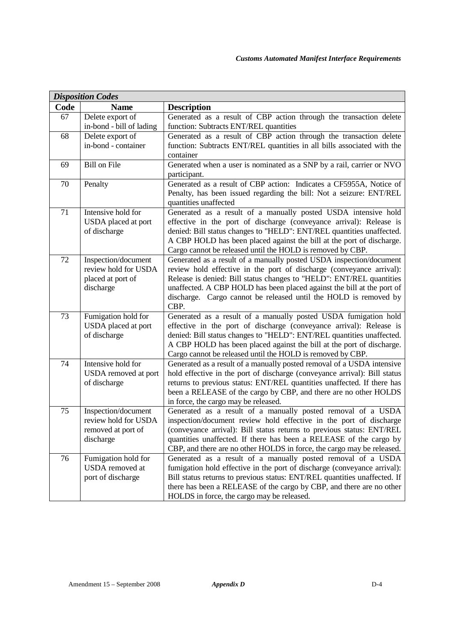| <b>Disposition Codes</b> |                                             |                                                                                                                                             |
|--------------------------|---------------------------------------------|---------------------------------------------------------------------------------------------------------------------------------------------|
| Code                     | <b>Name</b>                                 | <b>Description</b>                                                                                                                          |
| 67                       | Delete export of                            | Generated as a result of CBP action through the transaction delete                                                                          |
|                          | in-bond - bill of lading                    | function: Subtracts ENT/REL quantities                                                                                                      |
| 68                       | Delete export of                            | Generated as a result of CBP action through the transaction delete                                                                          |
|                          | in-bond - container                         | function: Subtracts ENT/REL quantities in all bills associated with the                                                                     |
|                          |                                             | container                                                                                                                                   |
| 69                       | <b>Bill on File</b>                         | Generated when a user is nominated as a SNP by a rail, carrier or NVO                                                                       |
|                          |                                             | participant.                                                                                                                                |
| 70                       | Penalty                                     | Generated as a result of CBP action: Indicates a CF5955A, Notice of                                                                         |
|                          |                                             | Penalty, has been issued regarding the bill: Not a seizure: ENT/REL                                                                         |
|                          |                                             | quantities unaffected                                                                                                                       |
| 71                       | Intensive hold for                          | Generated as a result of a manually posted USDA intensive hold                                                                              |
|                          | USDA placed at port                         | effective in the port of discharge (conveyance arrival): Release is                                                                         |
|                          | of discharge                                | denied: Bill status changes to "HELD": ENT/REL quantities unaffected.                                                                       |
|                          |                                             | A CBP HOLD has been placed against the bill at the port of discharge.                                                                       |
| 72                       |                                             | Cargo cannot be released until the HOLD is removed by CBP.                                                                                  |
|                          | Inspection/document<br>review hold for USDA | Generated as a result of a manually posted USDA inspection/document<br>review hold effective in the port of discharge (conveyance arrival): |
|                          | placed at port of                           | Release is denied: Bill status changes to "HELD": ENT/REL quantities                                                                        |
|                          | discharge                                   | unaffected. A CBP HOLD has been placed against the bill at the port of                                                                      |
|                          |                                             | discharge. Cargo cannot be released until the HOLD is removed by                                                                            |
|                          |                                             | CBP.                                                                                                                                        |
| 73                       | Fumigation hold for                         | Generated as a result of a manually posted USDA fumigation hold                                                                             |
|                          | USDA placed at port                         | effective in the port of discharge (conveyance arrival): Release is                                                                         |
|                          | of discharge                                | denied: Bill status changes to "HELD": ENT/REL quantities unaffected.                                                                       |
|                          |                                             | A CBP HOLD has been placed against the bill at the port of discharge.                                                                       |
|                          |                                             | Cargo cannot be released until the HOLD is removed by CBP.                                                                                  |
| 74                       | Intensive hold for                          | Generated as a result of a manually posted removal of a USDA intensive                                                                      |
|                          | USDA removed at port                        | hold effective in the port of discharge (conveyance arrival): Bill status                                                                   |
|                          | of discharge                                | returns to previous status: ENT/REL quantities unaffected. If there has                                                                     |
|                          |                                             | been a RELEASE of the cargo by CBP, and there are no other HOLDS                                                                            |
|                          |                                             | in force, the cargo may be released.                                                                                                        |
| 75                       | Inspection/document                         | Generated as a result of a manually posted removal of a USDA                                                                                |
|                          | review hold for USDA                        | inspection/document review hold effective in the port of discharge                                                                          |
|                          | removed at port of                          | (conveyance arrival): Bill status returns to previous status: ENT/REL                                                                       |
|                          | discharge                                   | quantities unaffected. If there has been a RELEASE of the cargo by                                                                          |
| 76                       |                                             | CBP, and there are no other HOLDS in force, the cargo may be released.<br>Generated as a result of a manually posted removal of a USDA      |
|                          | Fumigation hold for<br>USDA removed at      | fumigation hold effective in the port of discharge (conveyance arrival):                                                                    |
|                          | port of discharge                           | Bill status returns to previous status: ENT/REL quantities unaffected. If                                                                   |
|                          |                                             | there has been a RELEASE of the cargo by CBP, and there are no other                                                                        |
|                          |                                             |                                                                                                                                             |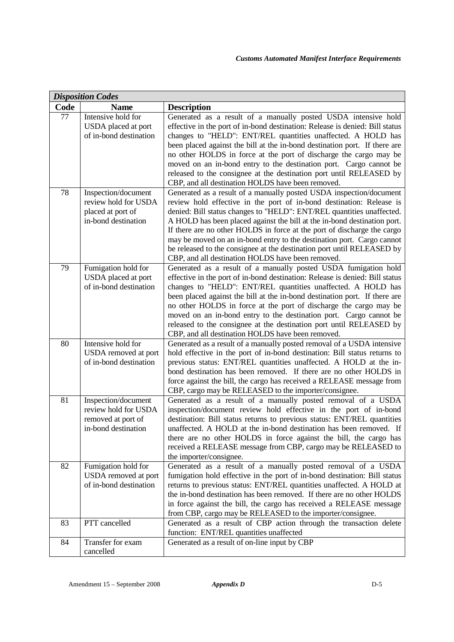| <b>Disposition Codes</b> |                                                                                          |                                                                                                                                                                                                                                                                                                                                                                                                                                                                                                                                                                                      |  |
|--------------------------|------------------------------------------------------------------------------------------|--------------------------------------------------------------------------------------------------------------------------------------------------------------------------------------------------------------------------------------------------------------------------------------------------------------------------------------------------------------------------------------------------------------------------------------------------------------------------------------------------------------------------------------------------------------------------------------|--|
| Code                     | <b>Name</b>                                                                              | <b>Description</b>                                                                                                                                                                                                                                                                                                                                                                                                                                                                                                                                                                   |  |
| 77                       | Intensive hold for<br>USDA placed at port<br>of in-bond destination                      | Generated as a result of a manually posted USDA intensive hold<br>effective in the port of in-bond destination: Release is denied: Bill status<br>changes to "HELD": ENT/REL quantities unaffected. A HOLD has<br>been placed against the bill at the in-bond destination port. If there are<br>no other HOLDS in force at the port of discharge the cargo may be<br>moved on an in-bond entry to the destination port. Cargo cannot be<br>released to the consignee at the destination port until RELEASED by<br>CBP, and all destination HOLDS have been removed.                  |  |
| 78                       | Inspection/document<br>review hold for USDA<br>placed at port of<br>in-bond destination  | Generated as a result of a manually posted USDA inspection/document<br>review hold effective in the port of in-bond destination: Release is<br>denied: Bill status changes to "HELD": ENT/REL quantities unaffected.<br>A HOLD has been placed against the bill at the in-bond destination port.<br>If there are no other HOLDS in force at the port of discharge the cargo<br>may be moved on an in-bond entry to the destination port. Cargo cannot<br>be released to the consignee at the destination port until RELEASED by<br>CBP, and all destination HOLDS have been removed. |  |
| 79                       | Fumigation hold for<br>USDA placed at port<br>of in-bond destination                     | Generated as a result of a manually posted USDA fumigation hold<br>effective in the port of in-bond destination: Release is denied: Bill status<br>changes to "HELD": ENT/REL quantities unaffected. A HOLD has<br>been placed against the bill at the in-bond destination port. If there are<br>no other HOLDS in force at the port of discharge the cargo may be<br>moved on an in-bond entry to the destination port. Cargo cannot be<br>released to the consignee at the destination port until RELEASED by<br>CBP, and all destination HOLDS have been removed.                 |  |
| 80                       | Intensive hold for<br>USDA removed at port<br>of in-bond destination                     | Generated as a result of a manually posted removal of a USDA intensive<br>hold effective in the port of in-bond destination: Bill status returns to<br>previous status: ENT/REL quantities unaffected. A HOLD at the in-<br>bond destination has been removed. If there are no other HOLDS in<br>force against the bill, the cargo has received a RELEASE message from<br>CBP, cargo may be RELEASED to the importer/consignee.                                                                                                                                                      |  |
| 81                       | Inspection/document<br>review hold for USDA<br>removed at port of<br>in-bond destination | Generated as a result of a manually posted removal of a USDA<br>inspection/document review hold effective in the port of in-bond<br>destination: Bill status returns to previous status: ENT/REL quantities<br>unaffected. A HOLD at the in-bond destination has been removed. If<br>there are no other HOLDS in force against the bill, the cargo has<br>received a RELEASE message from CBP, cargo may be RELEASED to<br>the importer/consignee.                                                                                                                                   |  |
| 82                       | Fumigation hold for<br>USDA removed at port<br>of in-bond destination                    | Generated as a result of a manually posted removal of a USDA<br>fumigation hold effective in the port of in-bond destination: Bill status<br>returns to previous status: ENT/REL quantities unaffected. A HOLD at<br>the in-bond destination has been removed. If there are no other HOLDS<br>in force against the bill, the cargo has received a RELEASE message<br>from CBP, cargo may be RELEASED to the importer/consignee.                                                                                                                                                      |  |
| 83                       | PTT cancelled                                                                            | Generated as a result of CBP action through the transaction delete<br>function: ENT/REL quantities unaffected                                                                                                                                                                                                                                                                                                                                                                                                                                                                        |  |
| 84                       | Transfer for exam<br>cancelled                                                           | Generated as a result of on-line input by CBP                                                                                                                                                                                                                                                                                                                                                                                                                                                                                                                                        |  |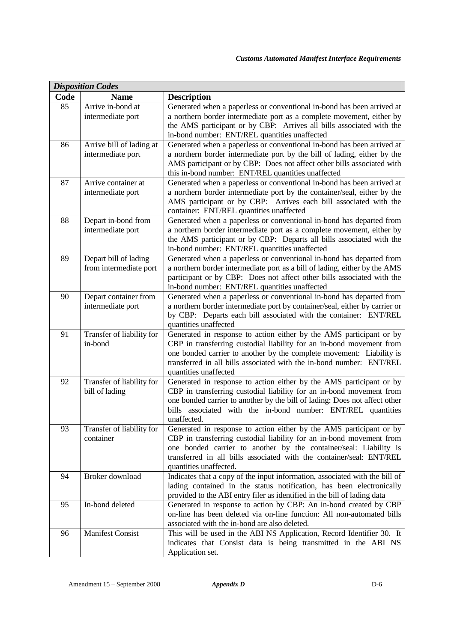| <b>Disposition Codes</b> |                                                 |                                                                                                                                                                                                                                                                                                                      |  |
|--------------------------|-------------------------------------------------|----------------------------------------------------------------------------------------------------------------------------------------------------------------------------------------------------------------------------------------------------------------------------------------------------------------------|--|
| Code                     | <b>Name</b>                                     | <b>Description</b>                                                                                                                                                                                                                                                                                                   |  |
| 85                       | Arrive in-bond at<br>intermediate port          | Generated when a paperless or conventional in-bond has been arrived at<br>a northern border intermediate port as a complete movement, either by<br>the AMS participant or by CBP: Arrives all bills associated with the<br>in-bond number: ENT/REL quantities unaffected                                             |  |
| 86                       | Arrive bill of lading at<br>intermediate port   | Generated when a paperless or conventional in-bond has been arrived at<br>a northern border intermediate port by the bill of lading, either by the<br>AMS participant or by CBP: Does not affect other bills associated with<br>this in-bond number: ENT/REL quantities unaffected                                   |  |
| 87                       | Arrive container at<br>intermediate port        | Generated when a paperless or conventional in-bond has been arrived at<br>a northern border intermediate port by the container/seal, either by the<br>AMS participant or by CBP: Arrives each bill associated with the<br>container: ENT/REL quantities unaffected                                                   |  |
| 88                       | Depart in-bond from<br>intermediate port        | Generated when a paperless or conventional in-bond has departed from<br>a northern border intermediate port as a complete movement, either by<br>the AMS participant or by CBP: Departs all bills associated with the<br>in-bond number: ENT/REL quantities unaffected                                               |  |
| 89                       | Depart bill of lading<br>from intermediate port | Generated when a paperless or conventional in-bond has departed from<br>a northern border intermediate port as a bill of lading, either by the AMS<br>participant or by CBP: Does not affect other bills associated with the<br>in-bond number: ENT/REL quantities unaffected                                        |  |
| 90                       | Depart container from<br>intermediate port      | Generated when a paperless or conventional in-bond has departed from<br>a northern border intermediate port by container/seal, either by carrier or<br>by CBP: Departs each bill associated with the container: ENT/REL<br>quantities unaffected                                                                     |  |
| 91                       | Transfer of liability for<br>in-bond            | Generated in response to action either by the AMS participant or by<br>CBP in transferring custodial liability for an in-bond movement from<br>one bonded carrier to another by the complete movement: Liability is<br>transferred in all bills associated with the in-bond number: ENT/REL<br>quantities unaffected |  |
| 92                       | Transfer of liability for<br>bill of lading     | Generated in response to action either by the AMS participant or by<br>CBP in transferring custodial liability for an in-bond movement from<br>one bonded carrier to another by the bill of lading: Does not affect other<br>bills associated with the in-bond number: ENT/REL quantities<br>unaffected.             |  |
| 93                       | Transfer of liability for<br>container          | Generated in response to action either by the AMS participant or by<br>CBP in transferring custodial liability for an in-bond movement from<br>one bonded carrier to another by the container/seal: Liability is<br>transferred in all bills associated with the container/seal: ENT/REL<br>quantities unaffected.   |  |
| 94                       | Broker download                                 | Indicates that a copy of the input information, associated with the bill of<br>lading contained in the status notification, has been electronically<br>provided to the ABI entry filer as identified in the bill of lading data                                                                                      |  |
| 95                       | In-bond deleted                                 | Generated in response to action by CBP: An in-bond created by CBP<br>on-line has been deleted via on-line function: All non-automated bills<br>associated with the in-bond are also deleted.                                                                                                                         |  |
| 96                       | <b>Manifest Consist</b>                         | This will be used in the ABI NS Application, Record Identifier 30. It<br>indicates that Consist data is being transmitted in the ABI NS<br>Application set.                                                                                                                                                          |  |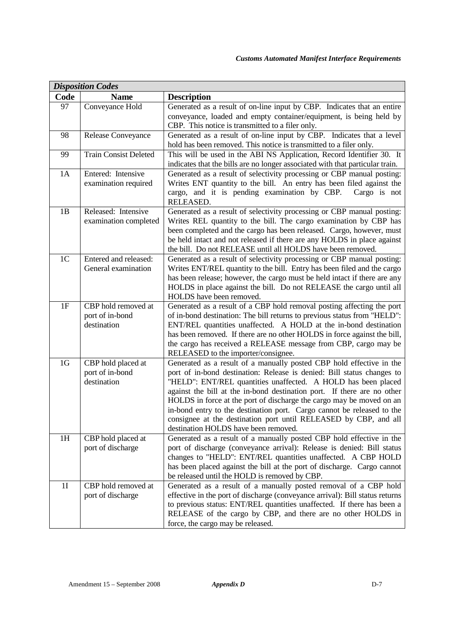| <b>Disposition Codes</b> |                              |                                                                                                        |  |
|--------------------------|------------------------------|--------------------------------------------------------------------------------------------------------|--|
| Code                     | <b>Name</b>                  | <b>Description</b>                                                                                     |  |
| 97                       | Conveyance Hold              | Generated as a result of on-line input by CBP. Indicates that an entire                                |  |
|                          |                              | conveyance, loaded and empty container/equipment, is being held by                                     |  |
|                          |                              | CBP. This notice is transmitted to a filer only.                                                       |  |
| 98                       | Release Conveyance           | Generated as a result of on-line input by CBP. Indicates that a level                                  |  |
|                          |                              | hold has been removed. This notice is transmitted to a filer only.                                     |  |
| 99                       | <b>Train Consist Deleted</b> | This will be used in the ABI NS Application, Record Identifier 30. It                                  |  |
|                          |                              | indicates that the bills are no longer associated with that particular train.                          |  |
| 1A                       | Entered: Intensive           | Generated as a result of selectivity processing or CBP manual posting:                                 |  |
|                          | examination required         | Writes ENT quantity to the bill. An entry has been filed against the                                   |  |
|                          |                              | cargo, and it is pending examination by CBP.<br>Cargo is not<br>RELEASED.                              |  |
| 1B                       | Released: Intensive          | Generated as a result of selectivity processing or CBP manual posting:                                 |  |
|                          | examination completed        | Writes REL quantity to the bill. The cargo examination by CBP has                                      |  |
|                          |                              | been completed and the cargo has been released. Cargo, however, must                                   |  |
|                          |                              | be held intact and not released if there are any HOLDS in place against                                |  |
|                          |                              | the bill. Do not RELEASE until all HOLDS have been removed.                                            |  |
| 1 <sub>C</sub>           | Entered and released:        | Generated as a result of selectivity processing or CBP manual posting:                                 |  |
|                          | General examination          | Writes ENT/REL quantity to the bill. Entry has been filed and the cargo                                |  |
|                          |                              | has been release; however, the cargo must be held intact if there are any                              |  |
|                          |                              | HOLDS in place against the bill. Do not RELEASE the cargo until all                                    |  |
|                          |                              | HOLDS have been removed.                                                                               |  |
| 1F                       | CBP hold removed at          | Generated as a result of a CBP hold removal posting affecting the port                                 |  |
|                          | port of in-bond              | of in-bond destination: The bill returns to previous status from "HELD":                               |  |
|                          | destination                  | ENT/REL quantities unaffected. A HOLD at the in-bond destination                                       |  |
|                          |                              | has been removed. If there are no other HOLDS in force against the bill,                               |  |
|                          |                              | the cargo has received a RELEASE message from CBP, cargo may be<br>RELEASED to the importer/consignee. |  |
| 1 <sub>G</sub>           | CBP hold placed at           | Generated as a result of a manually posted CBP hold effective in the                                   |  |
|                          | port of in-bond              | port of in-bond destination: Release is denied: Bill status changes to                                 |  |
|                          | destination                  | "HELD": ENT/REL quantities unaffected. A HOLD has been placed                                          |  |
|                          |                              | against the bill at the in-bond destination port. If there are no other                                |  |
|                          |                              | HOLDS in force at the port of discharge the cargo may be moved on an                                   |  |
|                          |                              | in-bond entry to the destination port. Cargo cannot be released to the                                 |  |
|                          |                              | consignee at the destination port until RELEASED by CBP, and all                                       |  |
|                          |                              | destination HOLDS have been removed.                                                                   |  |
| 1H                       | CBP hold placed at           | Generated as a result of a manually posted CBP hold effective in the                                   |  |
|                          | port of discharge            | port of discharge (conveyance arrival): Release is denied: Bill status                                 |  |
|                          |                              | changes to "HELD": ENT/REL quantities unaffected. A CBP HOLD                                           |  |
|                          |                              | has been placed against the bill at the port of discharge. Cargo cannot                                |  |
|                          |                              | be released until the HOLD is removed by CBP.                                                          |  |
| 1I                       | CBP hold removed at          | Generated as a result of a manually posted removal of a CBP hold                                       |  |
|                          | port of discharge            | effective in the port of discharge (conveyance arrival): Bill status returns                           |  |
|                          |                              | to previous status: ENT/REL quantities unaffected. If there has been a                                 |  |
|                          |                              |                                                                                                        |  |
|                          |                              | RELEASE of the cargo by CBP, and there are no other HOLDS in<br>force, the cargo may be released.      |  |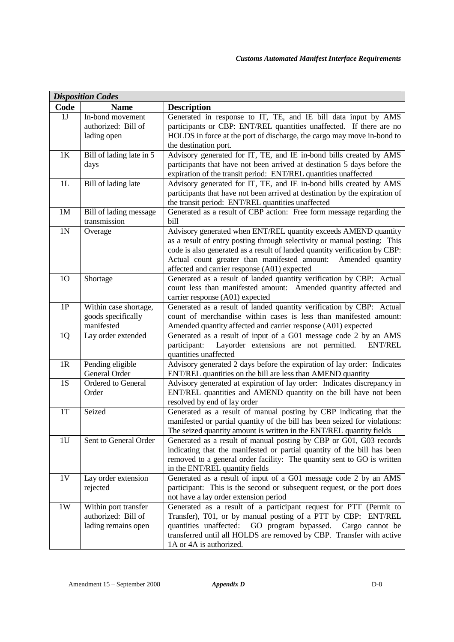| <b>Disposition Codes</b> |                                                                             |  |  |
|--------------------------|-----------------------------------------------------------------------------|--|--|
| <b>Name</b>              | <b>Description</b>                                                          |  |  |
| In-bond movement         | Generated in response to IT, TE, and IE bill data input by AMS              |  |  |
| authorized: Bill of      | participants or CBP: ENT/REL quantities unaffected. If there are no         |  |  |
| lading open              | HOLDS in force at the port of discharge, the cargo may move in-bond to      |  |  |
|                          | the destination port.                                                       |  |  |
|                          | Advisory generated for IT, TE, and IE in-bond bills created by AMS          |  |  |
| days                     | participants that have not been arrived at destination 5 days before the    |  |  |
|                          | expiration of the transit period: ENT/REL quantities unaffected             |  |  |
| Bill of lading late      | Advisory generated for IT, TE, and IE in-bond bills created by AMS          |  |  |
|                          | participants that have not been arrived at destination by the expiration of |  |  |
|                          | the transit period: ENT/REL quantities unaffected                           |  |  |
| Bill of lading message   | Generated as a result of CBP action: Free form message regarding the        |  |  |
| transmission             | bill                                                                        |  |  |
| Overage                  | Advisory generated when ENT/REL quantity exceeds AMEND quantity             |  |  |
|                          | as a result of entry posting through selectivity or manual posting: This    |  |  |
|                          | code is also generated as a result of landed quantity verification by CBP:  |  |  |
|                          | Actual count greater than manifested amount:<br>Amended quantity            |  |  |
|                          | affected and carrier response (A01) expected                                |  |  |
| Shortage                 | Generated as a result of landed quantity verification by CBP: Actual        |  |  |
|                          | count less than manifested amount: Amended quantity affected and            |  |  |
|                          | carrier response (A01) expected                                             |  |  |
| Within case shortage,    | Generated as a result of landed quantity verification by CBP: Actual        |  |  |
| goods specifically       | count of merchandise within cases is less than manifested amount:           |  |  |
| manifested               | Amended quantity affected and carrier response (A01) expected               |  |  |
| Lay order extended       | Generated as a result of input of a G01 message code 2 by an AMS            |  |  |
|                          | Layorder extensions are not permitted.<br>participant:<br><b>ENT/REL</b>    |  |  |
|                          | quantities unaffected                                                       |  |  |
| Pending eligible         | Advisory generated 2 days before the expiration of lay order: Indicates     |  |  |
| General Order            | ENT/REL quantities on the bill are less than AMEND quantity                 |  |  |
| Ordered to General       | Advisory generated at expiration of lay order: Indicates discrepancy in     |  |  |
| Order                    | ENT/REL quantities and AMEND quantity on the bill have not been             |  |  |
|                          | resolved by end of lay order                                                |  |  |
| Seized                   | Generated as a result of manual posting by CBP indicating that the          |  |  |
|                          | manifested or partial quantity of the bill has been seized for violations:  |  |  |
|                          | The seized quantity amount is written in the ENT/REL quantity fields        |  |  |
| Sent to General Order    | Generated as a result of manual posting by CBP or G01, G03 records          |  |  |
|                          | indicating that the manifested or partial quantity of the bill has been     |  |  |
|                          | removed to a general order facility: The quantity sent to GO is written     |  |  |
|                          | in the ENT/REL quantity fields                                              |  |  |
| Lay order extension      | Generated as a result of input of a G01 message code 2 by an AMS            |  |  |
| rejected                 | participant: This is the second or subsequent request, or the port does     |  |  |
|                          | not have a lay order extension period                                       |  |  |
| Within port transfer     | Generated as a result of a participant request for PTT (Permit to           |  |  |
| authorized: Bill of      | Transfer), T01, or by manual posting of a PTT by CBP: ENT/REL               |  |  |
| lading remains open      | GO program bypassed. Cargo cannot be<br>quantities unaffected:              |  |  |
|                          | transferred until all HOLDS are removed by CBP. Transfer with active        |  |  |
|                          | 1A or 4A is authorized.                                                     |  |  |
|                          | Bill of lading late in 5                                                    |  |  |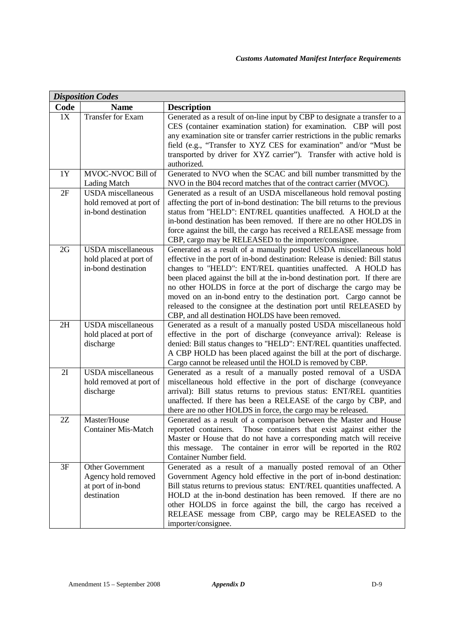| <b>Disposition Codes</b> |                                                                                     |                                                                                                                                                                                                                                                                                                                                                                                                                                                                                                                                                                         |  |
|--------------------------|-------------------------------------------------------------------------------------|-------------------------------------------------------------------------------------------------------------------------------------------------------------------------------------------------------------------------------------------------------------------------------------------------------------------------------------------------------------------------------------------------------------------------------------------------------------------------------------------------------------------------------------------------------------------------|--|
| Code                     | <b>Name</b>                                                                         | <b>Description</b>                                                                                                                                                                                                                                                                                                                                                                                                                                                                                                                                                      |  |
| 1X                       | Transfer for Exam                                                                   | Generated as a result of on-line input by CBP to designate a transfer to a<br>CES (container examination station) for examination. CBP will post<br>any examination site or transfer carrier restrictions in the public remarks                                                                                                                                                                                                                                                                                                                                         |  |
|                          |                                                                                     | field (e.g., "Transfer to XYZ CES for examination" and/or "Must be<br>transported by driver for XYZ carrier"). Transfer with active hold is<br>authorized.                                                                                                                                                                                                                                                                                                                                                                                                              |  |
| 1Y                       | MVOC-NVOC Bill of<br><b>Lading Match</b>                                            | Generated to NVO when the SCAC and bill number transmitted by the<br>NVO in the B04 record matches that of the contract carrier (MVOC).                                                                                                                                                                                                                                                                                                                                                                                                                                 |  |
| 2F                       | <b>USDA</b> miscellaneous<br>hold removed at port of<br>in-bond destination         | Generated as a result of an USDA miscellaneous hold removal posting<br>affecting the port of in-bond destination: The bill returns to the previous<br>status from "HELD": ENT/REL quantities unaffected. A HOLD at the<br>in-bond destination has been removed. If there are no other HOLDS in<br>force against the bill, the cargo has received a RELEASE message from<br>CBP, cargo may be RELEASED to the importer/consignee.                                                                                                                                        |  |
| 2G                       | <b>USDA</b> miscellaneous<br>hold placed at port of<br>in-bond destination          | Generated as a result of a manually posted USDA miscellaneous hold<br>effective in the port of in-bond destination: Release is denied: Bill status<br>changes to "HELD": ENT/REL quantities unaffected. A HOLD has<br>been placed against the bill at the in-bond destination port. If there are<br>no other HOLDS in force at the port of discharge the cargo may be<br>moved on an in-bond entry to the destination port. Cargo cannot be<br>released to the consignee at the destination port until RELEASED by<br>CBP, and all destination HOLDS have been removed. |  |
| 2H                       | <b>USDA</b> miscellaneous<br>hold placed at port of<br>discharge                    | Generated as a result of a manually posted USDA miscellaneous hold<br>effective in the port of discharge (conveyance arrival): Release is<br>denied: Bill status changes to "HELD": ENT/REL quantities unaffected.<br>A CBP HOLD has been placed against the bill at the port of discharge.<br>Cargo cannot be released until the HOLD is removed by CBP.                                                                                                                                                                                                               |  |
| 2I                       | <b>USDA</b> miscellaneous<br>hold removed at port of<br>discharge                   | Generated as a result of a manually posted removal of a USDA<br>miscellaneous hold effective in the port of discharge (conveyance<br>arrival): Bill status returns to previous status: ENT/REL quantities<br>unaffected. If there has been a RELEASE of the cargo by CBP, and<br>there are no other HOLDS in force, the cargo may be released.                                                                                                                                                                                                                          |  |
| 2Z                       | Master/House<br><b>Container Mis-Match</b>                                          | Generated as a result of a comparison between the Master and House<br>Those containers that exist against either the<br>reported containers.<br>Master or House that do not have a corresponding match will receive<br>The container in error will be reported in the R02<br>this message.<br>Container Number field.                                                                                                                                                                                                                                                   |  |
| 3F                       | <b>Other Government</b><br>Agency hold removed<br>at port of in-bond<br>destination | Generated as a result of a manually posted removal of an Other<br>Government Agency hold effective in the port of in-bond destination:<br>Bill status returns to previous status: ENT/REL quantities unaffected. A<br>HOLD at the in-bond destination has been removed. If there are no<br>other HOLDS in force against the bill, the cargo has received a<br>RELEASE message from CBP, cargo may be RELEASED to the<br>importer/consignee.                                                                                                                             |  |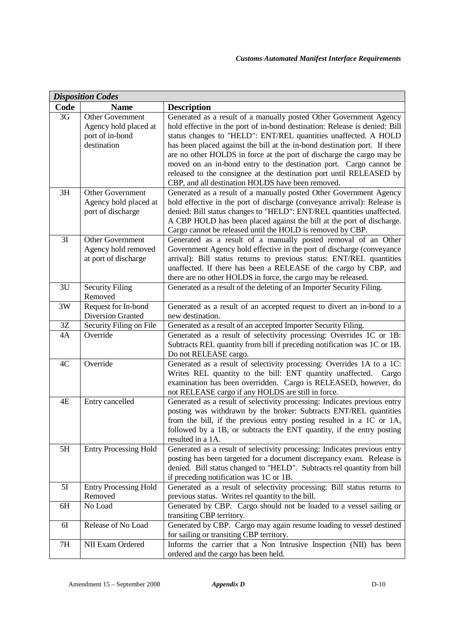| <b>Disposition Codes</b> |                                   |                                                                                                                                                    |  |
|--------------------------|-----------------------------------|----------------------------------------------------------------------------------------------------------------------------------------------------|--|
| Code                     | <b>Name</b>                       | <b>Description</b>                                                                                                                                 |  |
| 3G                       | Other Government                  | Generated as a result of a manually posted Other Government Agency                                                                                 |  |
|                          | Agency hold placed at             | hold effective in the port of in-bond destination: Release is denied: Bill                                                                         |  |
|                          | port of in-bond                   | status changes to "HELD": ENT/REL quantities unaffected. A HOLD                                                                                    |  |
|                          | destination                       | has been placed against the bill at the in-bond destination port. If there                                                                         |  |
|                          |                                   | are no other HOLDS in force at the port of discharge the cargo may be                                                                              |  |
|                          |                                   | moved on an in-bond entry to the destination port. Cargo cannot be                                                                                 |  |
|                          |                                   | released to the consignee at the destination port until RELEASED by<br>CBP, and all destination HOLDS have been removed.                           |  |
| 3H                       | <b>Other Government</b>           | Generated as a result of a manually posted Other Government Agency                                                                                 |  |
|                          | Agency hold placed at             | hold effective in the port of discharge (conveyance arrival): Release is                                                                           |  |
|                          | port of discharge                 | denied: Bill status changes to "HELD": ENT/REL quantities unaffected.                                                                              |  |
|                          |                                   | A CBP HOLD has been placed against the bill at the port of discharge.                                                                              |  |
|                          |                                   | Cargo cannot be released until the HOLD is removed by CBP.                                                                                         |  |
| 3I                       | Other Government                  | Generated as a result of a manually posted removal of an Other                                                                                     |  |
|                          | Agency hold removed               | Government Agency hold effective in the port of discharge (conveyance                                                                              |  |
|                          | at port of discharge              | arrival): Bill status returns to previous status: ENT/REL quantities                                                                               |  |
|                          |                                   | unaffected. If there has been a RELEASE of the cargo by CBP, and                                                                                   |  |
|                          |                                   | there are no other HOLDS in force, the cargo may be released.                                                                                      |  |
| 3U                       | <b>Security Filing</b><br>Removed | Generated as a result of the deleting of an Importer Security Filing.                                                                              |  |
| 3W                       | Request for In-bond               | Generated as a result of an accepted request to divert an in-bond to a                                                                             |  |
|                          | <b>Diversion Granted</b>          | new destination.                                                                                                                                   |  |
| 3Z                       | Security Filing on File           | Generated as a result of an accepted Importer Security Filing.                                                                                     |  |
| 4A                       | Override                          | Generated as a result of selectivity processing: Overrides 1C or 1B:                                                                               |  |
|                          |                                   | Subtracts REL quantity from bill if preceding notification was 1C or 1B.                                                                           |  |
|                          |                                   | Do not RELEASE cargo.                                                                                                                              |  |
| 4C                       | Override                          | Generated as a result of selectivity processing: Overrides 1A to a 1C:                                                                             |  |
|                          |                                   | Writes REL quantity to the bill: ENT quantity unaffected. Cargo                                                                                    |  |
|                          |                                   | examination has been overridden. Cargo is RELEASED, however, do                                                                                    |  |
|                          |                                   | not RELEASE cargo if any HOLDS are still in force.                                                                                                 |  |
| 4E                       | Entry cancelled                   | Generated as a result of selectivity processing: Indicates previous entry                                                                          |  |
|                          |                                   | posting was withdrawn by the broker: Subtracts ENT/REL quantities                                                                                  |  |
|                          |                                   | from the bill, if the previous entry posting resulted in a 1C or 1A,                                                                               |  |
|                          |                                   | followed by a 1B, or subtracts the ENT quantity, if the entry posting                                                                              |  |
|                          |                                   | resulted in a 1A.                                                                                                                                  |  |
| 5H                       | <b>Entry Processing Hold</b>      | Generated as a result of selectivity processing: Indicates previous entry<br>posting has been targeted for a document discrepancy exam. Release is |  |
|                          |                                   | denied. Bill status changed to "HELD". Subtracts rel quantity from bill                                                                            |  |
|                          |                                   | if preceding notification was 1C or 1B.                                                                                                            |  |
| 5I                       | <b>Entry Processing Hold</b>      | Generated as a result of selectivity processing: Bill status returns to                                                                            |  |
|                          | Removed                           | previous status. Writes rel quantity to the bill.                                                                                                  |  |
| 6H                       | No Load                           | Generated by CBP. Cargo should not be loaded to a vessel sailing or                                                                                |  |
|                          |                                   | transiting CBP territory.                                                                                                                          |  |
| 6I                       | Release of No Load                | Generated by CBP. Cargo may again resume loading to vessel destined                                                                                |  |
|                          |                                   | for sailing or transiting CBP territory.                                                                                                           |  |
| 7H                       | NII Exam Ordered                  | Informs the carrier that a Non Intrusive Inspection (NII) has been                                                                                 |  |
|                          |                                   | ordered and the cargo has been held.                                                                                                               |  |